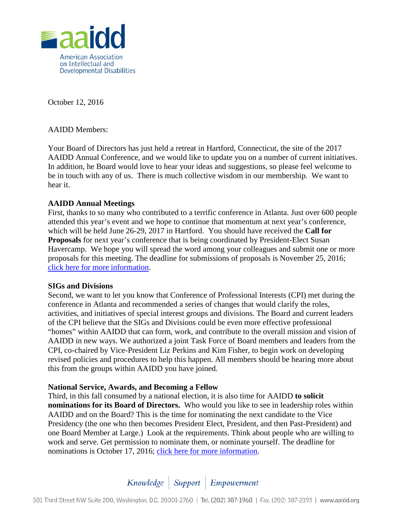

October 12, 2016

AAIDD Members:

Your Board of Directors has just held a retreat in Hartford, Connecticut, the site of the 2017 AAIDD Annual Conference, and we would like to update you on a number of current initiatives. In addition, he Board would love to hear your ideas and suggestions, so please feel welcome to be in touch with any of us. There is much collective wisdom in our membership. We want to hear it.

## **AAIDD Annual Meetings**

First, thanks to so many who contributed to a terrific conference in Atlanta. Just over 600 people attended this year's event and we hope to continue that momentum at next year's conference, which will be held June 26-29, 2017 in Hartford. You should have received the **Call for Proposals** for next year's conference that is being coordinated by President-Elect Susan Havercamp. We hope you will spread the word among your colleagues and submit one or more proposals for this meeting. The deadline for submissions of proposals is November 25, 2016; [click here for more information.](http://aaidd.org/education/annual-conference/2017-call-for-presentations)

## **SIGs and Divisions**

Second, we want to let you know that Conference of Professional Interests (CPI) met during the conference in Atlanta and recommended a series of changes that would clarify the roles, activities, and initiatives of special interest groups and divisions. The Board and current leaders of the CPI believe that the SIGs and Divisions could be even more effective professional "homes" within AAIDD that can form, work, and contribute to the overall mission and vision of AAIDD in new ways. We authorized a joint Task Force of Board members and leaders from the CPI, co-chaired by Vice-President Liz Perkins and Kim Fisher, to begin work on developing revised policies and procedures to help this happen. All members should be hearing more about this from the groups within AAIDD you have joined.

## **National Service, Awards, and Becoming a Fellow**

Third, in this fall consumed by a national election, it is also time for AAIDD **to solicit nominations for its Board of Directors.** Who would you like to see in leadership roles within AAIDD and on the Board? This is the time for nominating the next candidate to the Vice Presidency (the one who then becomes President Elect, President, and then Past-President) and one Board Member at Large.) Look at the requirements. Think about people who are willing to work and serve. Get permission to nominate them, or nominate yourself. The deadline for nominations is October 17, 2016; [click here for more information.](http://aaidd.org/about-aaidd/nominations-and-elections)

# Knowledge | Support | Empowerment